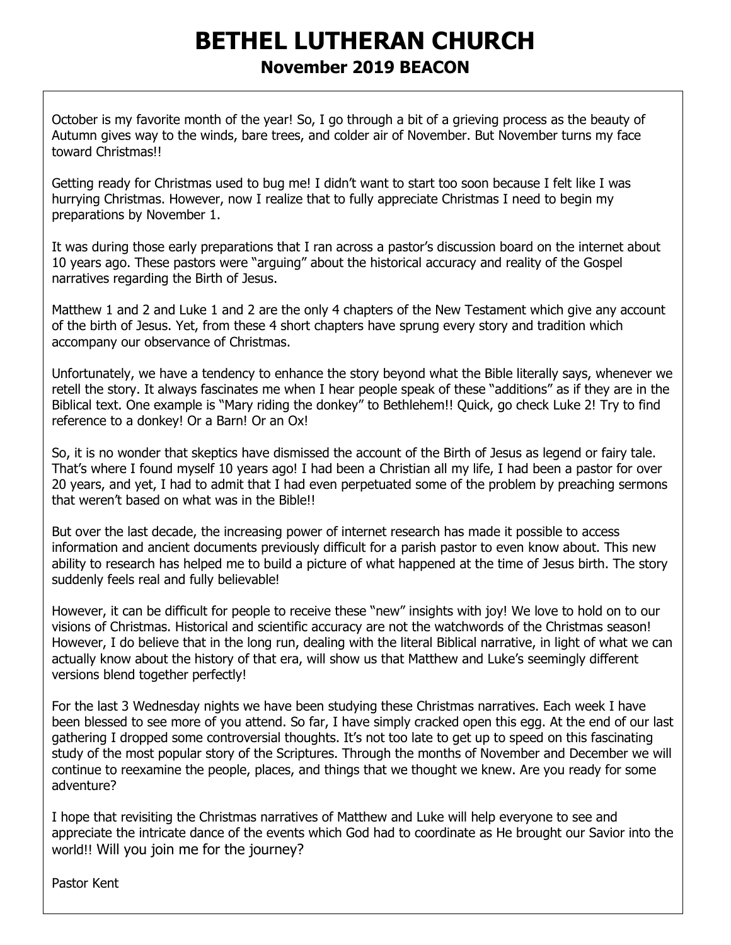# **BETHEL LUTHERAN CHURCH November 2019 BEACON**

October is my favorite month of the year! So, I go through a bit of a grieving process as the beauty of Autumn gives way to the winds, bare trees, and colder air of November. But November turns my face toward Christmas!!

Getting ready for Christmas used to bug me! I didn't want to start too soon because I felt like I was hurrying Christmas. However, now I realize that to fully appreciate Christmas I need to begin my preparations by November 1.

It was during those early preparations that I ran across a pastor's discussion board on the internet about 10 years ago. These pastors were "arguing" about the historical accuracy and reality of the Gospel narratives regarding the Birth of Jesus.

Matthew 1 and 2 and Luke 1 and 2 are the only 4 chapters of the New Testament which give any account of the birth of Jesus. Yet, from these 4 short chapters have sprung every story and tradition which accompany our observance of Christmas.

Unfortunately, we have a tendency to enhance the story beyond what the Bible literally says, whenever we retell the story. It always fascinates me when I hear people speak of these "additions" as if they are in the Biblical text. One example is "Mary riding the donkey" to Bethlehem!! Quick, go check Luke 2! Try to find reference to a donkey! Or a Barn! Or an Ox!

So, it is no wonder that skeptics have dismissed the account of the Birth of Jesus as legend or fairy tale. That's where I found myself 10 years ago! I had been a Christian all my life, I had been a pastor for over 20 years, and yet, I had to admit that I had even perpetuated some of the problem by preaching sermons that weren't based on what was in the Bible!!

But over the last decade, the increasing power of internet research has made it possible to access information and ancient documents previously difficult for a parish pastor to even know about. This new ability to research has helped me to build a picture of what happened at the time of Jesus birth. The story suddenly feels real and fully believable!

However, it can be difficult for people to receive these "new" insights with joy! We love to hold on to our visions of Christmas. Historical and scientific accuracy are not the watchwords of the Christmas season! However, I do believe that in the long run, dealing with the literal Biblical narrative, in light of what we can actually know about the history of that era, will show us that Matthew and Luke's seemingly different versions blend together perfectly!

For the last 3 Wednesday nights we have been studying these Christmas narratives. Each week I have been blessed to see more of you attend. So far, I have simply cracked open this egg. At the end of our last gathering I dropped some controversial thoughts. It's not too late to get up to speed on this fascinating study of the most popular story of the Scriptures. Through the months of November and December we will continue to reexamine the people, places, and things that we thought we knew. Are you ready for some adventure?

I hope that revisiting the Christmas narratives of Matthew and Luke will help everyone to see and appreciate the intricate dance of the events which God had to coordinate as He brought our Savior into the world!! Will you join me for the journey?

Pastor Kent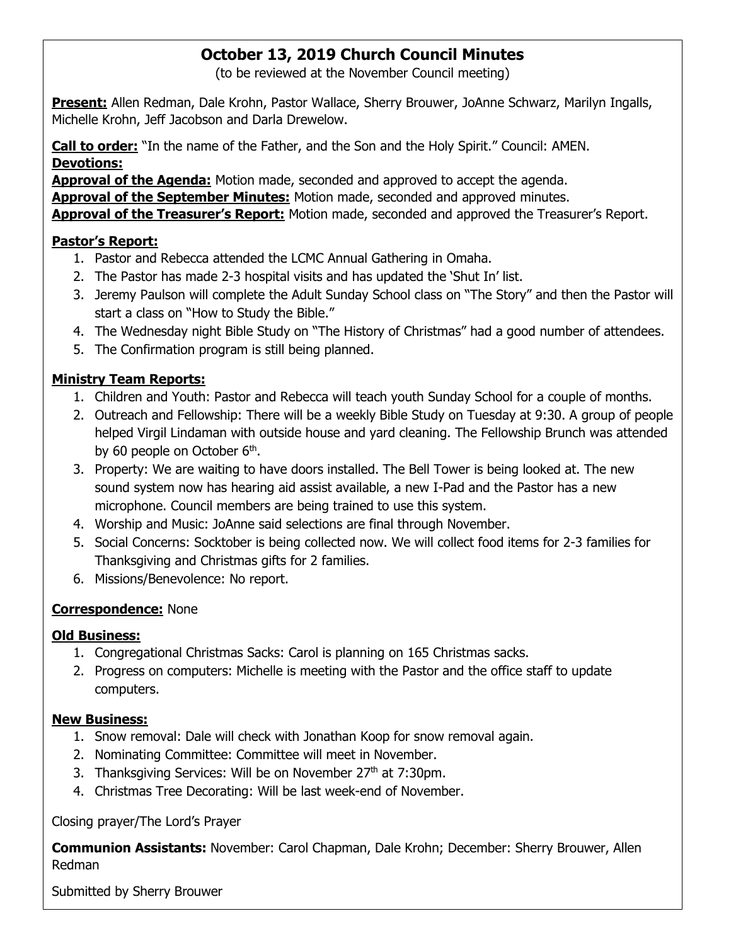## **October 13, 2019 Church Council Minutes**

(to be reviewed at the November Council meeting)

**Present:** Allen Redman, Dale Krohn, Pastor Wallace, Sherry Brouwer, JoAnne Schwarz, Marilyn Ingalls, Michelle Krohn, Jeff Jacobson and Darla Drewelow.

**Call to order:** "In the name of the Father, and the Son and the Holy Spirit." Council: AMEN. **Devotions:**

**Approval of the Agenda:** Motion made, seconded and approved to accept the agenda.

**Approval of the September Minutes:** Motion made, seconded and approved minutes.

**Approval of the Treasurer's Report:** Motion made, seconded and approved the Treasurer's Report.

#### **Pastor's Report:**

- 1. Pastor and Rebecca attended the LCMC Annual Gathering in Omaha.
- 2. The Pastor has made 2-3 hospital visits and has updated the 'Shut In' list.
- 3. Jeremy Paulson will complete the Adult Sunday School class on "The Story" and then the Pastor will start a class on "How to Study the Bible."
- 4. The Wednesday night Bible Study on "The History of Christmas" had a good number of attendees.
- 5. The Confirmation program is still being planned.

#### **Ministry Team Reports:**

- 1. Children and Youth: Pastor and Rebecca will teach youth Sunday School for a couple of months.
- 2. Outreach and Fellowship: There will be a weekly Bible Study on Tuesday at 9:30. A group of people helped Virgil Lindaman with outside house and yard cleaning. The Fellowship Brunch was attended by 60 people on October  $6<sup>th</sup>$ .
- 3. Property: We are waiting to have doors installed. The Bell Tower is being looked at. The new sound system now has hearing aid assist available, a new I-Pad and the Pastor has a new microphone. Council members are being trained to use this system.
- 4. Worship and Music: JoAnne said selections are final through November.
- 5. Social Concerns: Socktober is being collected now. We will collect food items for 2-3 families for Thanksgiving and Christmas gifts for 2 families.
- 6. Missions/Benevolence: No report.

#### **Correspondence:** None

#### **Old Business:**

- 1. Congregational Christmas Sacks: Carol is planning on 165 Christmas sacks.
- 2. Progress on computers: Michelle is meeting with the Pastor and the office staff to update computers.

#### **New Business:**

- 1. Snow removal: Dale will check with Jonathan Koop for snow removal again.
- 2. Nominating Committee: Committee will meet in November.
- 3. Thanksgiving Services: Will be on November 27th at 7:30pm.
- 4. Christmas Tree Decorating: Will be last week-end of November.

Closing prayer/The Lord's Prayer

**Communion Assistants:** November: Carol Chapman, Dale Krohn; December: Sherry Brouwer, Allen Redman

Submitted by Sherry Brouwer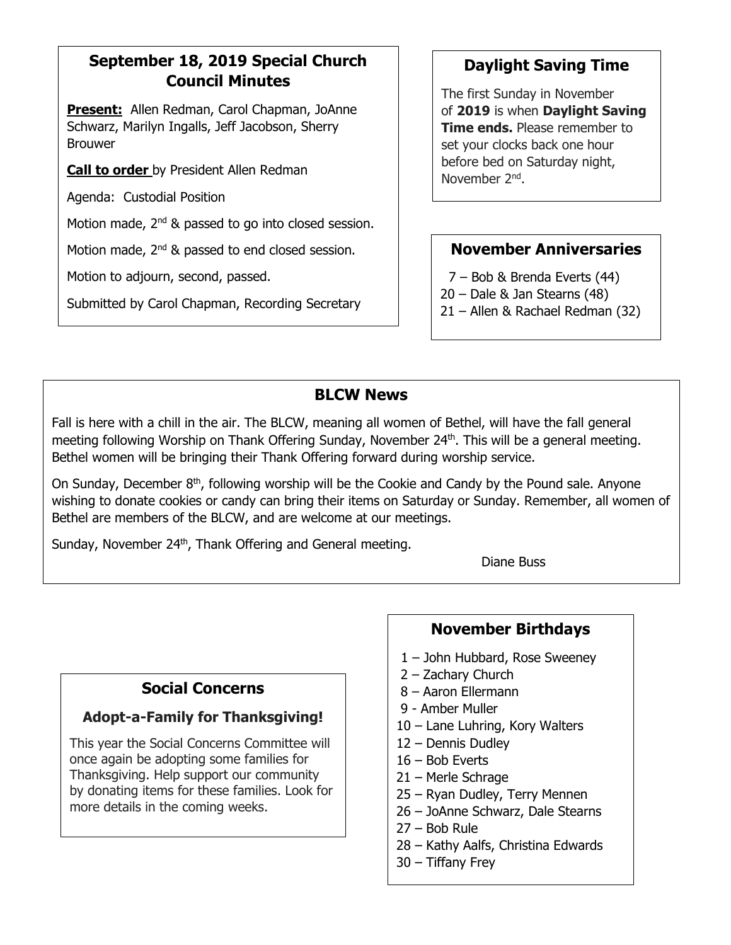## **September 18, 2019 Special Church Council Minutes**

**Present:** Allen Redman, Carol Chapman, JoAnne Schwarz, Marilyn Ingalls, Jeff Jacobson, Sherry Brouwer

**Call to order** by President Allen Redman

Agenda: Custodial Position

Motion made, 2<sup>nd</sup> & passed to go into closed session.

Motion made, 2<sup>nd</sup> & passed to end closed session.

Motion to adjourn, second, passed.

Submitted by Carol Chapman, Recording Secretary

## **Daylight Saving Time**

The first Sunday in November of **2019** is when **Daylight Saving Time ends.** Please remember to set your clocks back one hour before bed on Saturday night, November 2<sup>nd</sup>.

## **November Anniversaries**

7 – Bob & Brenda Everts (44)

- 20 Dale & Jan Stearns (48)
- 21 Allen & Rachael Redman (32)

## **BLCW News**

Fall is here with a chill in the air. The BLCW, meaning all women of Bethel, will have the fall general meeting following Worship on Thank Offering Sunday, November 24<sup>th</sup>. This will be a general meeting. Bethel women will be bringing their Thank Offering forward during worship service.

On Sunday, December  $8<sup>th</sup>$ , following worship will be the Cookie and Candy by the Pound sale. Anyone wishing to donate cookies or candy can bring their items on Saturday or Sunday. Remember, all women of Bethel are members of the BLCW, and are welcome at our meetings.

Sunday, November 24<sup>th</sup>, Thank Offering and General meeting.

Diane Buss

## **Social Concerns**

## **Adopt-a-Family for Thanksgiving!**

This year the Social Concerns Committee will once again be adopting some families for Thanksgiving. Help support our community by donating items for these families. Look for more details in the coming weeks.

## **November Birthdays**

- 1 John Hubbard, Rose Sweeney
- 2 Zachary Church
- 8 Aaron Ellermann
- 9 Amber Muller
- 10 Lane Luhring, Kory Walters
- 12 Dennis Dudley
- 16 Bob Everts
- 21 Merle Schrage
- 25 Ryan Dudley, Terry Mennen
- 26 JoAnne Schwarz, Dale Stearns
- 27 Bob Rule
- 28 Kathy Aalfs, Christina Edwards
- 30 Tiffany Frey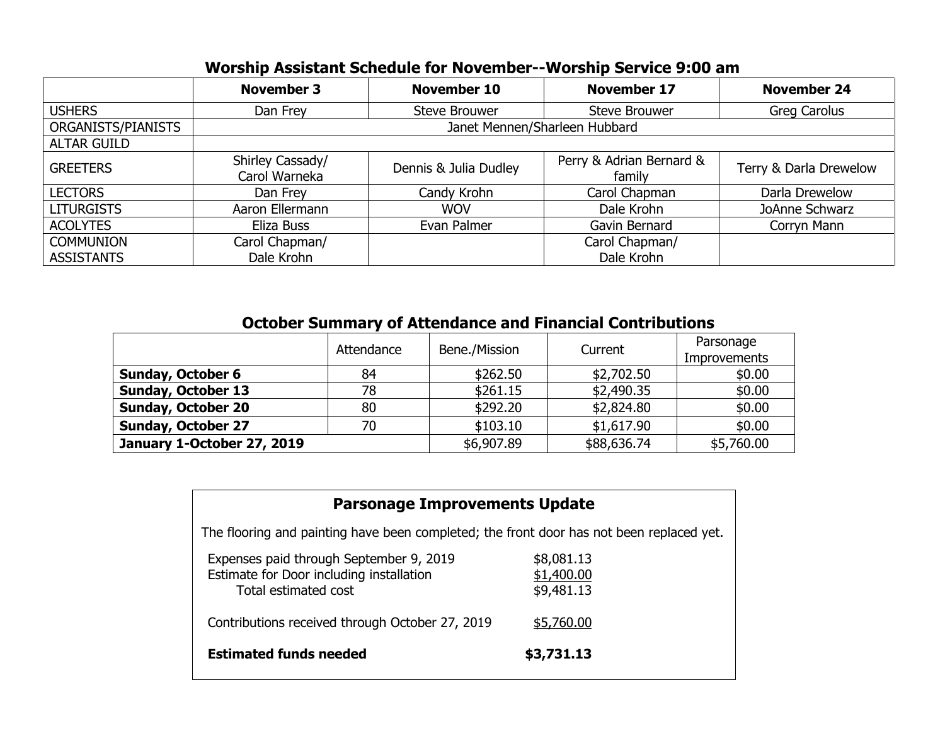## **Worship Assistant Schedule for November--Worship Service 9:00 am**

|                    | <b>November 3</b>                 | <b>November 10</b>    | <b>November 17</b>                 | <b>November 24</b>     |  |  |
|--------------------|-----------------------------------|-----------------------|------------------------------------|------------------------|--|--|
| <b>USHERS</b>      | Dan Frey                          | Steve Brouwer         | <b>Steve Brouwer</b>               | <b>Greg Carolus</b>    |  |  |
| ORGANISTS/PIANISTS | Janet Mennen/Sharleen Hubbard     |                       |                                    |                        |  |  |
| <b>ALTAR GUILD</b> |                                   |                       |                                    |                        |  |  |
| <b>GREETERS</b>    | Shirley Cassady/<br>Carol Warneka | Dennis & Julia Dudley | Perry & Adrian Bernard &<br>family | Terry & Darla Drewelow |  |  |
| <b>LECTORS</b>     | Dan Frey                          | Candy Krohn           | Carol Chapman                      | Darla Drewelow         |  |  |
| <b>LITURGISTS</b>  | Aaron Ellermann                   | <b>WOV</b>            | Dale Krohn                         | JoAnne Schwarz         |  |  |
| <b>ACOLYTES</b>    | Eliza Buss                        | Evan Palmer           | Gavin Bernard                      | Corryn Mann            |  |  |
| <b>COMMUNION</b>   | Carol Chapman/                    |                       | Carol Chapman/                     |                        |  |  |
| <b>ASSISTANTS</b>  | Dale Krohn                        |                       | Dale Krohn                         |                        |  |  |

| <b>October Summary of Attendance and Financial Contributions</b> |            |               |             |                           |  |
|------------------------------------------------------------------|------------|---------------|-------------|---------------------------|--|
|                                                                  | Attendance | Bene./Mission | Current     | Parsonage<br>Improvements |  |
| <b>Sunday, October 6</b>                                         | 84         | \$262.50      | \$2,702.50  | \$0.00                    |  |
| <b>Sunday, October 13</b>                                        | 78         | \$261.15      | \$2,490.35  | \$0.00                    |  |
| <b>Sunday, October 20</b>                                        | 80         | \$292.20      | \$2,824.80  | \$0.00                    |  |
| <b>Sunday, October 27</b>                                        | 70         | \$103.10      | \$1,617.90  | \$0.00                    |  |
| January 1-October 27, 2019                                       |            | \$6,907.89    | \$88,636.74 | \$5,760.00                |  |

| <b>Parsonage Improvements Update</b>                                                                        |                                        |  |  |  |  |  |
|-------------------------------------------------------------------------------------------------------------|----------------------------------------|--|--|--|--|--|
| The flooring and painting have been completed; the front door has not been replaced yet.                    |                                        |  |  |  |  |  |
| Expenses paid through September 9, 2019<br>Estimate for Door including installation<br>Total estimated cost | \$8,081.13<br>\$1,400.00<br>\$9,481.13 |  |  |  |  |  |
| Contributions received through October 27, 2019                                                             | \$5,760.00                             |  |  |  |  |  |
| <b>Estimated funds needed</b>                                                                               | \$3,731.13                             |  |  |  |  |  |